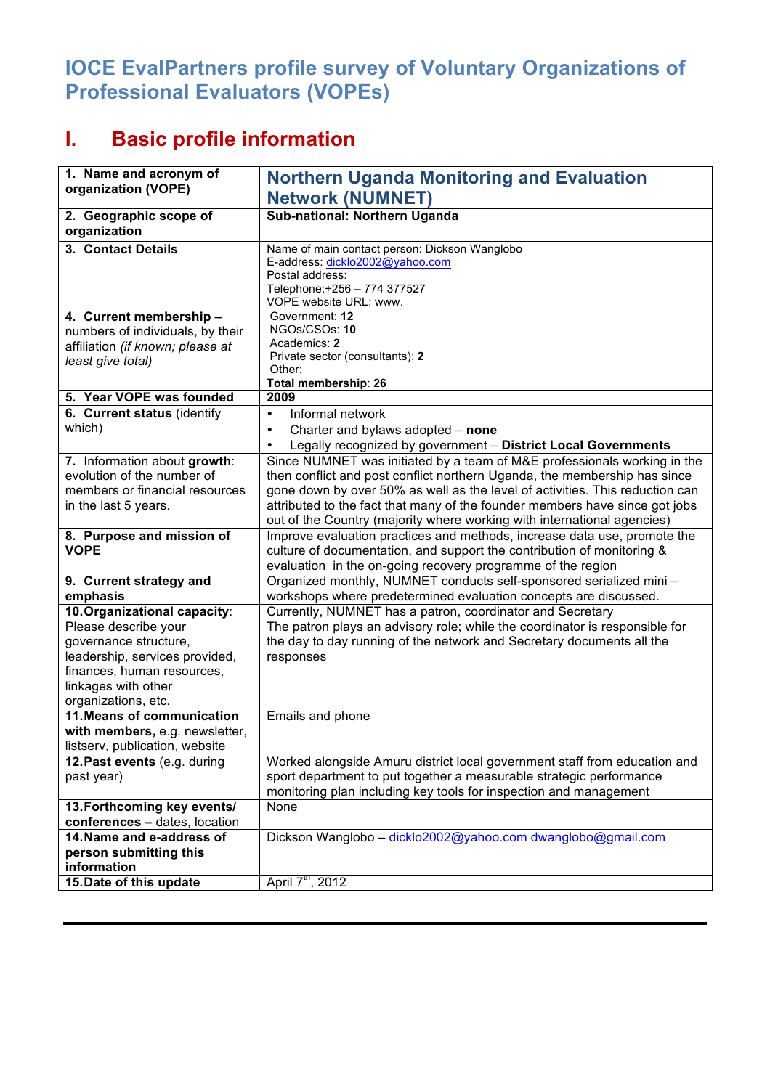## **IOCE EvalPartners profile survey of Voluntary Organizations of Professional Evaluators (VOPEs)**

## **I. Basic profile information**

| 1. Name and acronym of<br>organization (VOPE)                                                                                                               | <b>Northern Uganda Monitoring and Evaluation</b>                                                                                                                                                                                                                                                                                                                                                |
|-------------------------------------------------------------------------------------------------------------------------------------------------------------|-------------------------------------------------------------------------------------------------------------------------------------------------------------------------------------------------------------------------------------------------------------------------------------------------------------------------------------------------------------------------------------------------|
|                                                                                                                                                             | <b>Network (NUMNET)</b>                                                                                                                                                                                                                                                                                                                                                                         |
| 2. Geographic scope of<br>organization                                                                                                                      | Sub-national: Northern Uganda                                                                                                                                                                                                                                                                                                                                                                   |
| 3. Contact Details                                                                                                                                          | Name of main contact person: Dickson Wanglobo<br>E-address: dicklo2002@yahoo.com<br>Postal address:<br>Telephone:+256 - 774 377527<br>VOPE website URL: www.                                                                                                                                                                                                                                    |
| 4. Current membership -<br>numbers of individuals, by their<br>affiliation (if known; please at<br>least give total)                                        | Government: 12<br>NGOs/CSOs: 10<br>Academics: 2<br>Private sector (consultants): 2<br>Other:<br>Total membership: 26                                                                                                                                                                                                                                                                            |
| 5. Year VOPE was founded                                                                                                                                    | 2009                                                                                                                                                                                                                                                                                                                                                                                            |
| 6. Current status (identify<br>which)                                                                                                                       | Informal network<br>$\bullet$<br>Charter and bylaws adopted - none<br>$\bullet$<br>Legally recognized by government - District Local Governments<br>$\bullet$                                                                                                                                                                                                                                   |
| 7. Information about growth:<br>evolution of the number of<br>members or financial resources<br>in the last 5 years.                                        | Since NUMNET was initiated by a team of M&E professionals working in the<br>then conflict and post conflict northern Uganda, the membership has since<br>gone down by over 50% as well as the level of activities. This reduction can<br>attributed to the fact that many of the founder members have since got jobs<br>out of the Country (majority where working with international agencies) |
| 8. Purpose and mission of<br><b>VOPE</b>                                                                                                                    | Improve evaluation practices and methods, increase data use, promote the<br>culture of documentation, and support the contribution of monitoring &<br>evaluation in the on-going recovery programme of the region                                                                                                                                                                               |
| 9. Current strategy and<br>emphasis                                                                                                                         | Organized monthly, NUMNET conducts self-sponsored serialized mini -<br>workshops where predetermined evaluation concepts are discussed.                                                                                                                                                                                                                                                         |
| 10. Organizational capacity:                                                                                                                                | Currently, NUMNET has a patron, coordinator and Secretary                                                                                                                                                                                                                                                                                                                                       |
| Please describe your<br>governance structure,<br>leadership, services provided,<br>finances, human resources,<br>linkages with other<br>organizations, etc. | The patron plays an advisory role; while the coordinator is responsible for<br>the day to day running of the network and Secretary documents all the<br>responses                                                                                                                                                                                                                               |
| 11. Means of communication<br>with members, e.g. newsletter,<br>listserv, publication, website                                                              | Emails and phone                                                                                                                                                                                                                                                                                                                                                                                |
| 12. Past events (e.g. during<br>past year)                                                                                                                  | Worked alongside Amuru district local government staff from education and<br>sport department to put together a measurable strategic performance<br>monitoring plan including key tools for inspection and management                                                                                                                                                                           |
| 13. Forthcoming key events/<br>conferences - dates, location                                                                                                | None                                                                                                                                                                                                                                                                                                                                                                                            |
| 14. Name and e-address of<br>person submitting this<br>information                                                                                          | Dickson Wanglobo - dicklo2002@yahoo.com dwanglobo@gmail.com                                                                                                                                                                                                                                                                                                                                     |
| 15. Date of this update                                                                                                                                     | April 7 <sup>th</sup> , 2012                                                                                                                                                                                                                                                                                                                                                                    |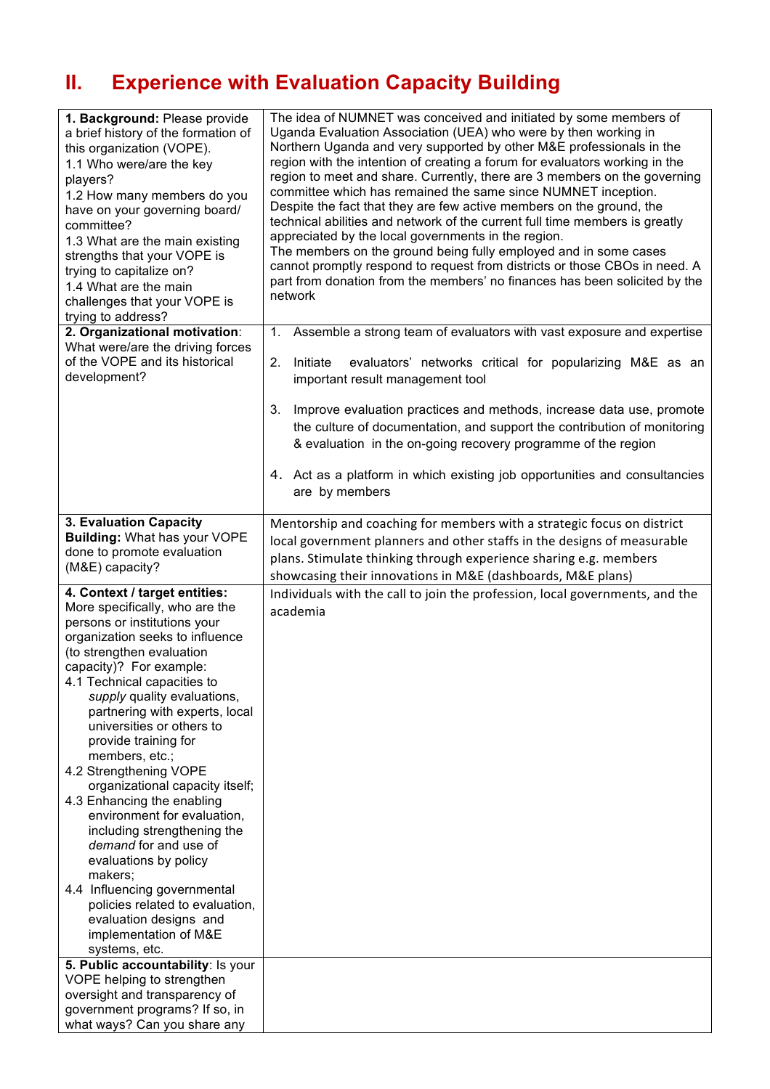## **II. Experience with Evaluation Capacity Building**

| 1. Background: Please provide<br>a brief history of the formation of<br>this organization (VOPE).<br>1.1 Who were/are the key<br>players?<br>1.2 How many members do you<br>have on your governing board/<br>committee?<br>1.3 What are the main existing<br>strengths that your VOPE is<br>trying to capitalize on?<br>1.4 What are the main<br>challenges that your VOPE is<br>trying to address?                                                                                                                                                                                                                                                                                                                                                                 | The idea of NUMNET was conceived and initiated by some members of<br>Uganda Evaluation Association (UEA) who were by then working in<br>Northern Uganda and very supported by other M&E professionals in the<br>region with the intention of creating a forum for evaluators working in the<br>region to meet and share. Currently, there are 3 members on the governing<br>committee which has remained the same since NUMNET inception.<br>Despite the fact that they are few active members on the ground, the<br>technical abilities and network of the current full time members is greatly<br>appreciated by the local governments in the region.<br>The members on the ground being fully employed and in some cases<br>cannot promptly respond to request from districts or those CBOs in need. A<br>part from donation from the members' no finances has been solicited by the<br>network |
|---------------------------------------------------------------------------------------------------------------------------------------------------------------------------------------------------------------------------------------------------------------------------------------------------------------------------------------------------------------------------------------------------------------------------------------------------------------------------------------------------------------------------------------------------------------------------------------------------------------------------------------------------------------------------------------------------------------------------------------------------------------------|----------------------------------------------------------------------------------------------------------------------------------------------------------------------------------------------------------------------------------------------------------------------------------------------------------------------------------------------------------------------------------------------------------------------------------------------------------------------------------------------------------------------------------------------------------------------------------------------------------------------------------------------------------------------------------------------------------------------------------------------------------------------------------------------------------------------------------------------------------------------------------------------------|
| 2. Organizational motivation:<br>What were/are the driving forces<br>of the VOPE and its historical<br>development?                                                                                                                                                                                                                                                                                                                                                                                                                                                                                                                                                                                                                                                 | Assemble a strong team of evaluators with vast exposure and expertise<br>1.<br>2.<br>Initiate<br>evaluators' networks critical for popularizing M&E as an<br>important result management tool<br>Improve evaluation practices and methods, increase data use, promote<br>3.<br>the culture of documentation, and support the contribution of monitoring<br>& evaluation in the on-going recovery programme of the region<br>4. Act as a platform in which existing job opportunities and consultancies<br>are by members                                                                                                                                                                                                                                                                                                                                                                           |
| 3. Evaluation Capacity<br><b>Building: What has your VOPE</b><br>done to promote evaluation<br>(M&E) capacity?                                                                                                                                                                                                                                                                                                                                                                                                                                                                                                                                                                                                                                                      | Mentorship and coaching for members with a strategic focus on district<br>local government planners and other staffs in the designs of measurable<br>plans. Stimulate thinking through experience sharing e.g. members<br>showcasing their innovations in M&E (dashboards, M&E plans)                                                                                                                                                                                                                                                                                                                                                                                                                                                                                                                                                                                                              |
| 4. Context / target entities:<br>More specifically, who are the<br>persons or institutions your<br>organization seeks to influence<br>(to strengthen evaluation<br>capacity)? For example:<br>4.1 Technical capacities to<br>supply quality evaluations,<br>partnering with experts, local<br>universities or others to<br>provide training for<br>members, etc.;<br>4.2 Strengthening VOPE<br>organizational capacity itself;<br>4.3 Enhancing the enabling<br>environment for evaluation,<br>including strengthening the<br>demand for and use of<br>evaluations by policy<br>makers;<br>4.4 Influencing governmental<br>policies related to evaluation,<br>evaluation designs and<br>implementation of M&E<br>systems, etc.<br>5. Public accountability: Is your | Individuals with the call to join the profession, local governments, and the<br>academia                                                                                                                                                                                                                                                                                                                                                                                                                                                                                                                                                                                                                                                                                                                                                                                                           |
| VOPE helping to strengthen<br>oversight and transparency of<br>government programs? If so, in<br>what ways? Can you share any                                                                                                                                                                                                                                                                                                                                                                                                                                                                                                                                                                                                                                       |                                                                                                                                                                                                                                                                                                                                                                                                                                                                                                                                                                                                                                                                                                                                                                                                                                                                                                    |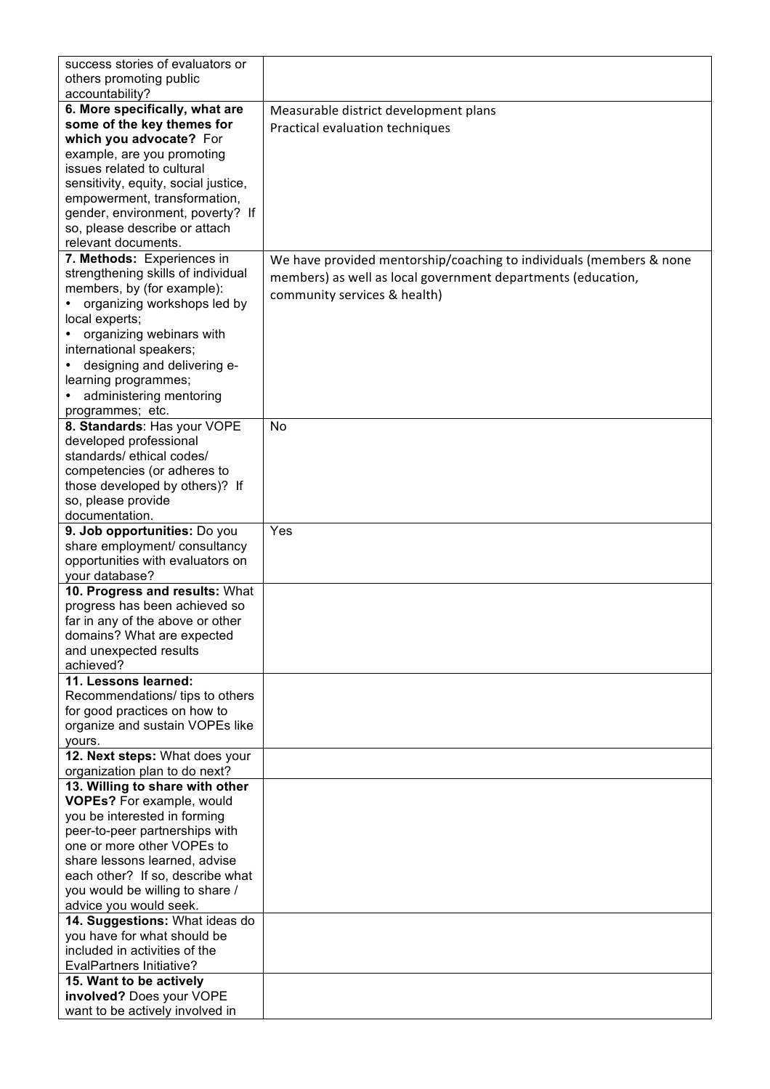| success stories of evaluators or                          |                                                                     |
|-----------------------------------------------------------|---------------------------------------------------------------------|
| others promoting public                                   |                                                                     |
| accountability?                                           |                                                                     |
| 6. More specifically, what are                            | Measurable district development plans                               |
| some of the key themes for                                | Practical evaluation techniques                                     |
| which you advocate? For                                   |                                                                     |
| example, are you promoting                                |                                                                     |
| issues related to cultural                                |                                                                     |
| sensitivity, equity, social justice,                      |                                                                     |
| empowerment, transformation,                              |                                                                     |
| gender, environment, poverty? If                          |                                                                     |
| so, please describe or attach                             |                                                                     |
| relevant documents.                                       |                                                                     |
| 7. Methods: Experiences in                                | We have provided mentorship/coaching to individuals (members & none |
| strengthening skills of individual                        | members) as well as local government departments (education,        |
| members, by (for example):                                | community services & health)                                        |
| organizing workshops led by                               |                                                                     |
| local experts;                                            |                                                                     |
| organizing webinars with<br>international speakers;       |                                                                     |
| designing and delivering e-                               |                                                                     |
| learning programmes;                                      |                                                                     |
| administering mentoring                                   |                                                                     |
|                                                           |                                                                     |
| programmes; etc.<br>8. Standards: Has your VOPE           | No                                                                  |
| developed professional                                    |                                                                     |
| standards/ ethical codes/                                 |                                                                     |
| competencies (or adheres to                               |                                                                     |
| those developed by others)? If                            |                                                                     |
| so, please provide                                        |                                                                     |
| documentation.                                            |                                                                     |
| 9. Job opportunities: Do you                              | Yes                                                                 |
| share employment/ consultancy                             |                                                                     |
| opportunities with evaluators on                          |                                                                     |
| your database?                                            |                                                                     |
| 10. Progress and results: What                            |                                                                     |
| progress has been achieved so                             |                                                                     |
| far in any of the above or other                          |                                                                     |
| domains? What are expected                                |                                                                     |
| and unexpected results                                    |                                                                     |
| achieved?                                                 |                                                                     |
| 11. Lessons learned:                                      |                                                                     |
| Recommendations/tips to others                            |                                                                     |
| for good practices on how to                              |                                                                     |
| organize and sustain VOPEs like                           |                                                                     |
| yours.                                                    |                                                                     |
| 12. Next steps: What does your                            |                                                                     |
| organization plan to do next?                             |                                                                     |
| 13. Willing to share with other                           |                                                                     |
| <b>VOPEs?</b> For example, would                          |                                                                     |
| you be interested in forming                              |                                                                     |
| peer-to-peer partnerships with                            |                                                                     |
| one or more other VOPEs to                                |                                                                     |
| share lessons learned, advise                             |                                                                     |
| each other? If so, describe what                          |                                                                     |
| you would be willing to share /<br>advice you would seek. |                                                                     |
| 14. Suggestions: What ideas do                            |                                                                     |
| you have for what should be                               |                                                                     |
| included in activities of the                             |                                                                     |
| EvalPartners Initiative?                                  |                                                                     |
| 15. Want to be actively                                   |                                                                     |
| involved? Does your VOPE                                  |                                                                     |
| want to be actively involved in                           |                                                                     |
|                                                           |                                                                     |